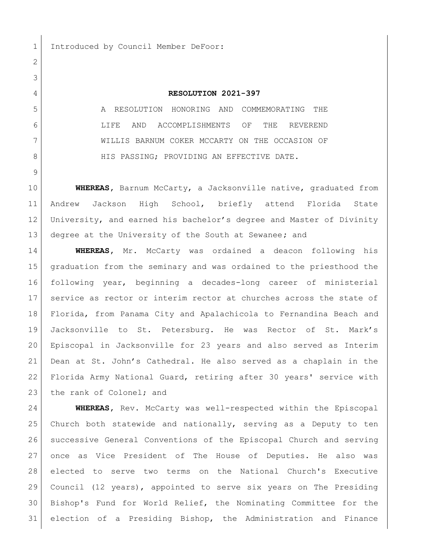1 Introduced by Council Member DeFoor:

## **RESOLUTION 2021-397**

 A RESOLUTION HONORING AND COMMEMORATING THE LIFE AND ACCOMPLISHMENTS OF THE REVEREND WILLIS BARNUM COKER MCCARTY ON THE OCCASION OF 8 HIS PASSING; PROVIDING AN EFFECTIVE DATE.

 **WHEREAS,** Barnum McCarty, a Jacksonville native, graduated from Andrew Jackson High School, briefly attend Florida State University, and earned his bachelor's degree and Master of Divinity degree at the University of the South at Sewanee**;** and

 **WHEREAS,** Mr. McCarty was ordained a deacon following his graduation from the seminary and was ordained to the priesthood the following year, beginning a decades-long career of ministerial service as rector or interim rector at churches across the state of Florida, from Panama City and Apalachicola to Fernandina Beach and Jacksonville to St. Petersburg. He was Rector of St. Mark's Episcopal in Jacksonville for 23 years and also served as Interim Dean at St. John's Cathedral. He also served as a chaplain in the Florida Army National Guard, retiring after 30 years' service with 23 the rank of Colonel; and

 **WHEREAS,** Rev. McCarty was well-respected within the Episcopal Church both statewide and nationally, serving as a Deputy to ten successive General Conventions of the Episcopal Church and serving once as Vice President of The House of Deputies. He also was elected to serve two terms on the National Church's Executive Council (12 years), appointed to serve six years on The Presiding Bishop's Fund for World Relief, the Nominating Committee for the election of a Presiding Bishop, the Administration and Finance